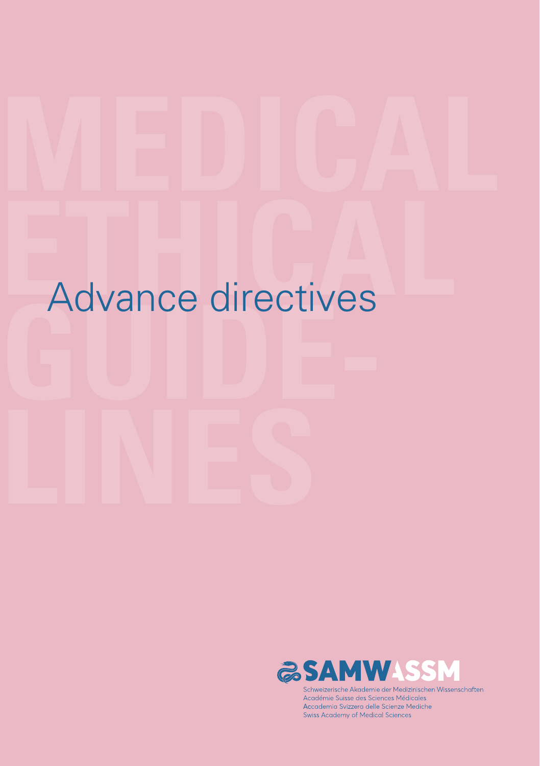# **Example 2018**<br>Expedimental Advance directives **Guide directives** Advance directives



Schweizerische Akademie der Medizinischen Wissenschaften Académie Suisse des Sciences Médicales Accademia Svizzera delle Scienze Mediche Swiss Academy of Medical Sciences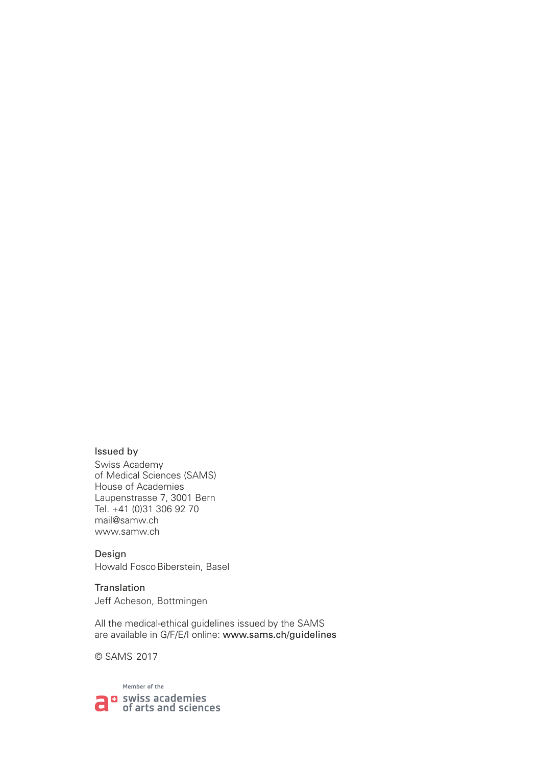#### Issued by

Swiss Academy of Medical Sciences (SAMS) House of Academies Laupenstrasse 7, 3001 Bern Tel. +41 (0)31 306 92 70 mail@samw.ch www.samw.ch

Design Howald FoscoBiberstein, Basel

Translation Jeff Acheson, Bottmingen

All the medical-ethical guidelines issued by the SAMS are available in G/F/E/I online: www.sams.ch/guidelines

© SAMS 2017

Member of the **a** swiss academies а of arts and sciences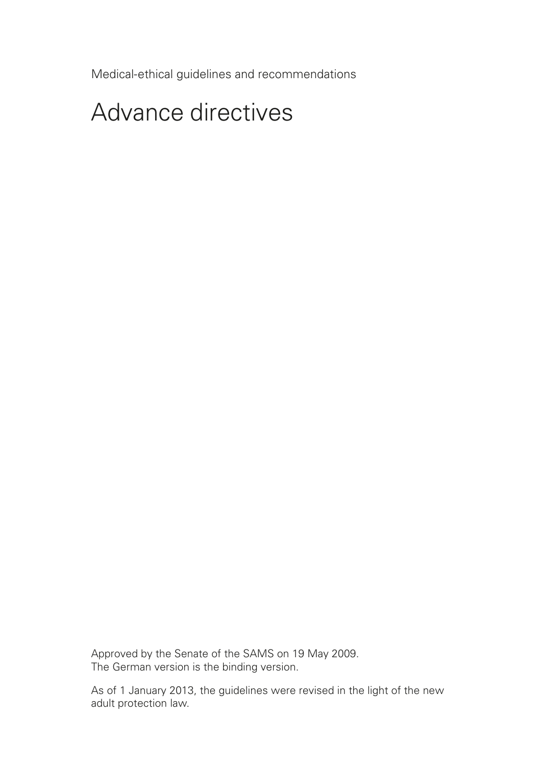Medical-ethical guidelines and recommendations

# Advance directives

Approved by the Senate of the SAMS on 19 May 2009. The German version is the binding version.

As of 1 January 2013, the guidelines were revised in the light of the new adult protection law.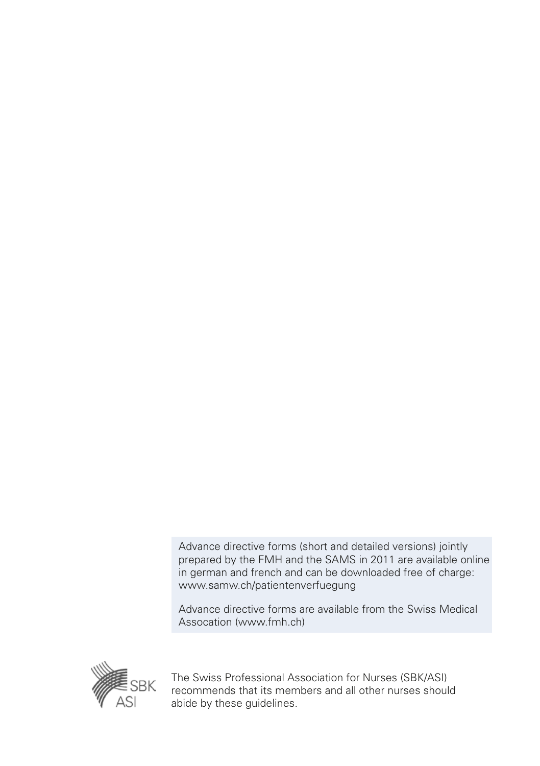Advance directive forms (short and detailed versions) jointly prepared by the FMH and the SAMS in 2011 are available online in german and french and can be downloaded free of charge: www.samw.ch/patientenverfuegung

Advance directive forms are available from the Swiss Medical Assocation (www.fmh.ch)



The Swiss Professional Association for Nurses (SBK/ASI) recommends that its members and all other nurses should abide by these guidelines.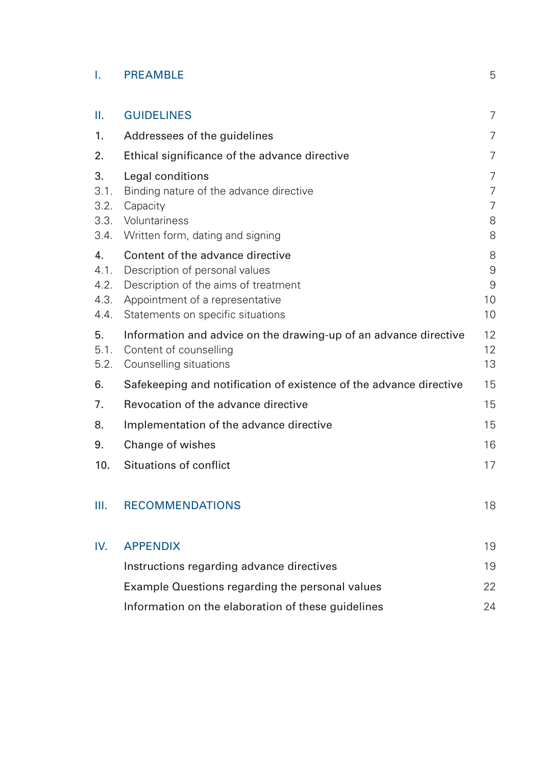# **I.** [PREAMBLE](#page-6-0) 5

| Ш.                                 | <b>GUIDELINES</b>                                                                                                                                                                  | $\overline{7}$                                  |
|------------------------------------|------------------------------------------------------------------------------------------------------------------------------------------------------------------------------------|-------------------------------------------------|
| 1.                                 | Addressees of the guidelines                                                                                                                                                       | $\overline{7}$                                  |
| 2.                                 | Ethical significance of the advance directive                                                                                                                                      | 7                                               |
| 3.<br>3.1.<br>3.2.<br>3.3.<br>3.4. | Legal conditions<br>Binding nature of the advance directive<br>Capacity<br>Voluntariness<br>Written form, dating and signing                                                       | 7<br>$\overline{7}$<br>$\overline{7}$<br>8<br>8 |
| 4.<br>4.1.<br>4.2.<br>4.3.<br>4.4. | Content of the advance directive<br>Description of personal values<br>Description of the aims of treatment<br>Appointment of a representative<br>Statements on specific situations | 8<br>9<br>9<br>10<br>10                         |
| 5.<br>5.1.<br>5.2.                 | Information and advice on the drawing-up of an advance directive<br>Content of counselling<br>Counselling situations                                                               | 12<br>12<br>13                                  |
| 6.                                 | Safekeeping and notification of existence of the advance directive                                                                                                                 | 15                                              |
| 7.                                 | Revocation of the advance directive                                                                                                                                                | 15                                              |
| 8.                                 | Implementation of the advance directive                                                                                                                                            | 15                                              |
| 9.                                 | Change of wishes                                                                                                                                                                   | 16                                              |
| 10.                                | Situations of conflict                                                                                                                                                             | 17                                              |
| Ш.                                 | <b>RECOMMENDATIONS</b>                                                                                                                                                             | 18                                              |
| IV.                                | <b>APPFNDIX</b>                                                                                                                                                                    | 19                                              |
|                                    | Instructions regarding advance directives                                                                                                                                          | 19                                              |
|                                    | Example Questions regarding the personal values                                                                                                                                    | 22                                              |
|                                    | Information on the elaboration of these guidelines                                                                                                                                 | 24                                              |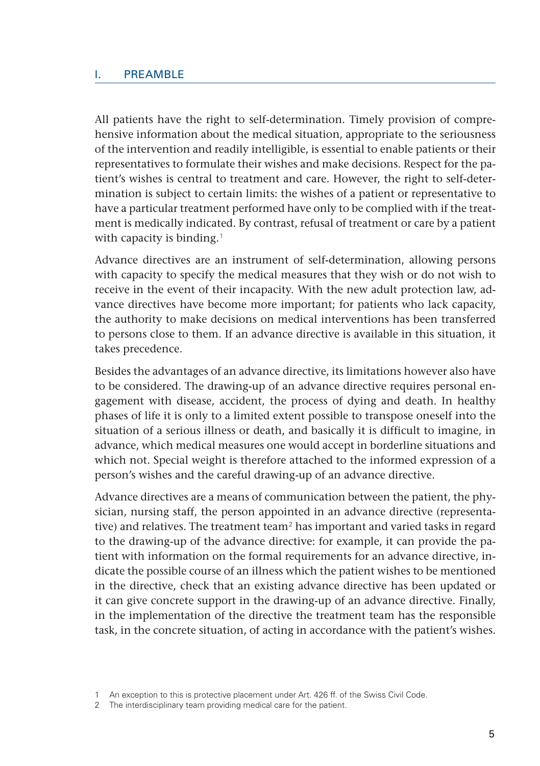#### <span id="page-6-0"></span>I. PREAMBLE

All patients have the right to self-determination. Timely provision of comprehensive information about the medical situation, appropriate to the seriousness of the intervention and readily intelligible, is essential to enable patients or their representatives to formulate their wishes and make decisions. Respect for the patient's wishes is central to treatment and care. However, the right to self-determination is subject to certain limits: the wishes of a patient or representative to have a particular treatment performed have only to be complied with if the treatment is medically indicated. By contrast, refusal of treatment or care by a patient with capacity is binding.<sup>1</sup>

Advance directives are an instrument of self-determination, allowing persons with capacity to specify the medical measures that they wish or do not wish to receive in the event of their incapacity. With the new adult protection law, advance directives have become more important; for patients who lack capacity, the authority to make decisions on medical interventions has been transferred to persons close to them. If an advance directive is available in this situation, it takes precedence.

Besides the advantages of an advance directive, its limitations however also have to be considered. The drawing-up of an advance directive requires personal engagement with disease, accident, the process of dying and death. In healthy phases of life it is only to a limited extent possible to transpose oneself into the situation of a serious illness or death, and basically it is difficult to imagine, in advance, which medical measures one would accept in borderline situations and which not. Special weight is therefore attached to the informed expression of a person's wishes and the careful drawing-up of an advance directive.

Advance directives are a means of communication between the patient, the physician, nursing staff, the person appointed in an advance directive (representative) and relatives. The treatment team<sup>2</sup> has important and varied tasks in regard to the drawing-up of the advance directive: for example, it can provide the patient with information on the formal requirements for an advance directive, indicate the possible course of an illness which the patient wishes to be mentioned in the directive, check that an existing advance directive has been updated or it can give concrete support in the drawing-up of an advance directive. Finally, in the implementation of the directive the treatment team has the responsible task, in the concrete situation, of acting in accordance with the patient's wishes.

<sup>1</sup> An exception to this is protective placement under Art. 426 ff. of the Swiss Civil Code.

<sup>2</sup> The interdisciplinary team providing medical care for the patient.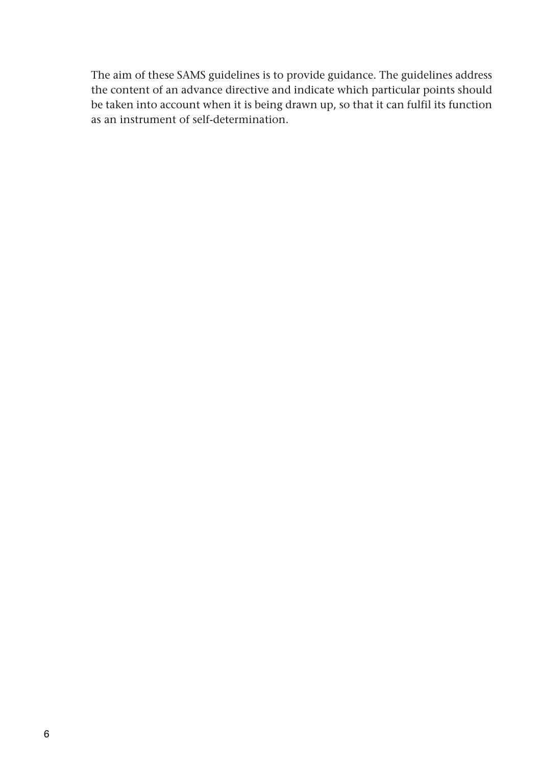The aim of these SAMS guidelines is to provide guidance. The guidelines address the content of an advance directive and indicate which particular points should be taken into account when it is being drawn up, so that it can fulfil its function as an instrument of self-determination.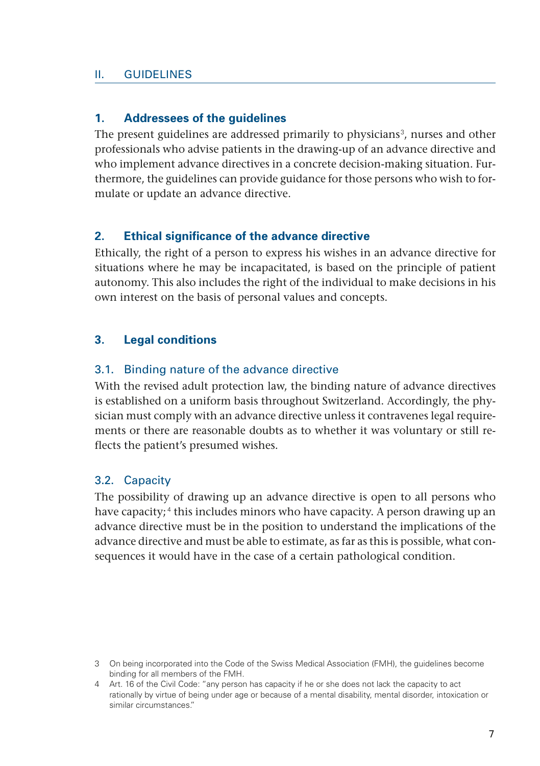#### <span id="page-8-0"></span>II. GUIDELINES

#### **1. Addressees of the guidelines**

The present guidelines are addressed primarily to physicians<sup>3</sup>, nurses and other professionals who advise patients in the drawing-up of an advance directive and who implement advance directives in a concrete decision-making situation. Furthermore, the guidelines can provide guidance for those persons who wish to formulate or update an advance directive.

#### **2. Ethical significance of the advance directive**

Ethically, the right of a person to express his wishes in an advance directive for situations where he may be incapacitated, is based on the principle of patient autonomy. This also includes the right of the individual to make decisions in his own interest on the basis of personal values and concepts.

#### **3. Legal conditions**

#### 3.1. Binding nature of the advance directive

With the revised adult protection law, the binding nature of advance directives is established on a uniform basis throughout Switzerland. Accordingly, the physician must comply with an advance directive unless it contravenes legal requirements or there are reasonable doubts as to whether it was voluntary or still reflects the patient's presumed wishes.

#### 3.2. Capacity

The possibility of drawing up an advance directive is open to all persons who have capacity; <sup>4</sup> this includes minors who have capacity. A person drawing up an advance directive must be in the position to understand the implications of the advance directive and must be able to estimate, as far as this is possible, what consequences it would have in the case of a certain pathological condition.

<sup>3</sup> On being incorporated into the Code of the Swiss Medical Association (FMH), the guidelines become binding for all members of the FMH.

<sup>&</sup>lt;sup>2</sup> Art. 16 of the Civil Code: "any person has capacity if he or she does not lack the capacity to act rationally by virtue of being under age or because of a mental disability, mental disorder, intoxication or similar circumstances."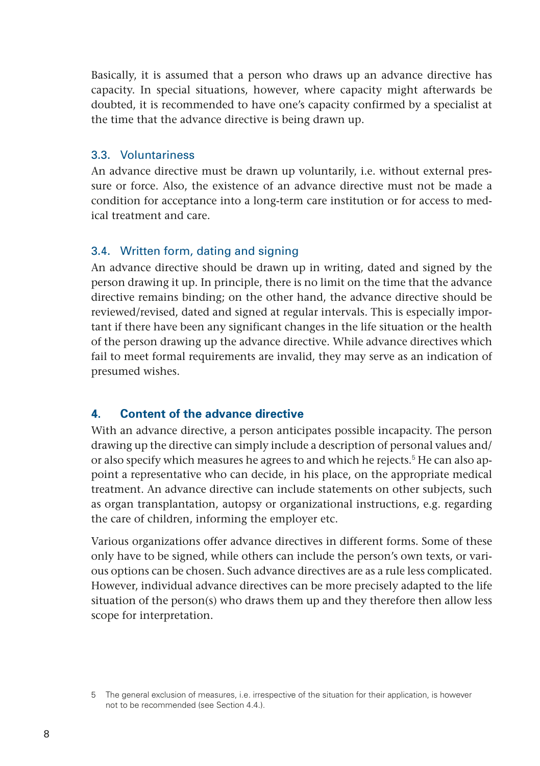<span id="page-9-0"></span>Basically, it is assumed that a person who draws up an advance directive has capacity. In special situations, however, where capacity might afterwards be doubted, it is recommended to have one's capacity confirmed by a specialist at the time that the advance directive is being drawn up.

#### 3.3. Voluntariness

An advance directive must be drawn up voluntarily, i.e. without external pressure or force. Also, the existence of an advance directive must not be made a condition for acceptance into a long-term care institution or for access to medical treatment and care.

# 3.4. Written form, dating and signing

An advance directive should be drawn up in writing, dated and signed by the person drawing it up. In principle, there is no limit on the time that the advance directive remains binding; on the other hand, the advance directive should be reviewed/revised, dated and signed at regular intervals. This is especially important if there have been any significant changes in the life situation or the health of the person drawing up the advance directive. While advance directives which fail to meet formal requirements are invalid, they may serve as an indication of presumed wishes.

# **4. Content of the advance directive**

With an advance directive, a person anticipates possible incapacity. The person drawing up the directive can simply include a description of personal values and/ or also specify which measures he agrees to and which he rejects.<sup>5</sup> He can also appoint a representative who can decide, in his place, on the appropriate medical treatment. An advance directive can include statements on other subjects, such as organ transplantation, autopsy or organizational instructions, e.g. regarding the care of children, informing the employer etc.

Various organizations offer advance directives in different forms. Some of these only have to be signed, while others can include the person's own texts, or various options can be chosen. Such advance directives are as a rule less complicated. However, individual advance directives can be more precisely adapted to the life situation of the person(s) who draws them up and they therefore then allow less scope for interpretation.

<sup>5</sup> The general exclusion of measures, i.e. irrespective of the situation for their application, is however not to be recommended (see Section 4.4.).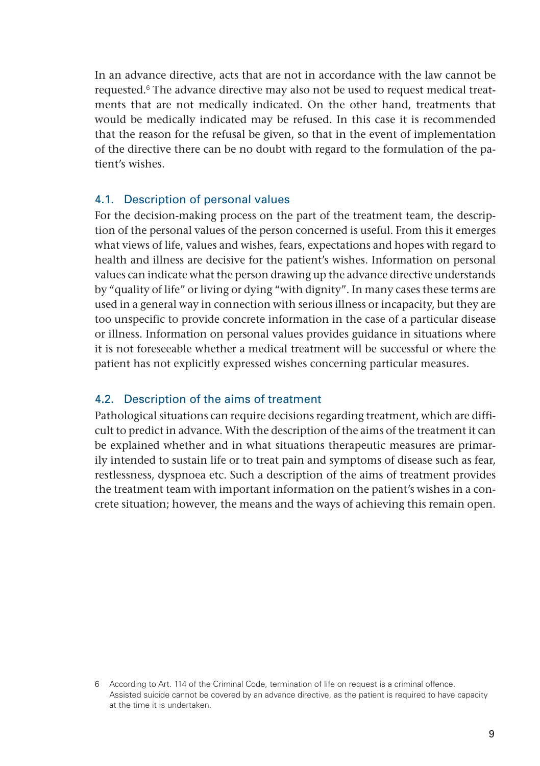<span id="page-10-0"></span>In an advance directive, acts that are not in accordance with the law cannot be requested.<sup>6</sup> The advance directive may also not be used to request medical treatments that are not medically indicated. On the other hand, treatments that would be medically indicated may be refused. In this case it is recommended that the reason for the refusal be given, so that in the event of implementation of the directive there can be no doubt with regard to the formulation of the patient's wishes.

#### 4.1. Description of personal values

For the decision-making process on the part of the treatment team, the description of the personal values of the person concerned is useful. From this it emerges what views of life, values and wishes, fears, expectations and hopes with regard to health and illness are decisive for the patient's wishes. Information on personal values can indicate what the person drawing up the advance directive understands by "quality of life" or living or dying "with dignity". In many cases these terms are used in a general way in connection with serious illness or incapacity, but they are too unspecific to provide concrete information in the case of a particular disease or illness. Information on personal values provides guidance in situations where it is not foreseeable whether a medical treatment will be successful or where the patient has not explicitly expressed wishes concerning particular measures.

#### 4.2. Description of the aims of treatment

Pathological situations can require decisions regarding treatment, which are difficult to predict in advance. With the description of the aims of the treatment it can be explained whether and in what situations therapeutic measures are primarily intended to sustain life or to treat pain and symptoms of disease such as fear, restlessness, dyspnoea etc. Such a description of the aims of treatment provides the treatment team with important information on the patient's wishes in a concrete situation; however, the means and the ways of achieving this remain open.

<sup>6</sup> According to Art. 114 of the Criminal Code, termination of life on request is a criminal offence. Assisted suicide cannot be covered by an advance directive, as the patient is required to have capacity at the time it is undertaken.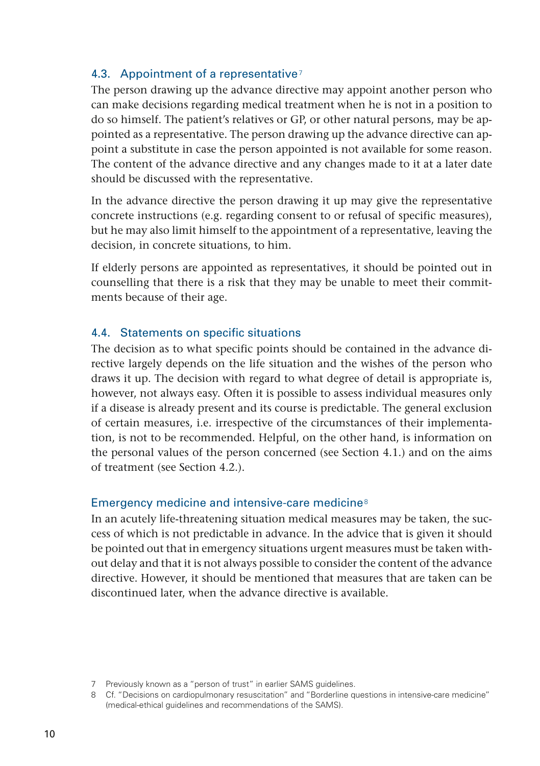# <span id="page-11-0"></span>4.3. Appointment of a representative<sup>7</sup>

The person drawing up the advance directive may appoint another person who can make decisions regarding medical treatment when he is not in a position to do so himself. The patient's relatives or GP, or other natural persons, may be appointed as a representative. The person drawing up the advance directive can appoint a substitute in case the person appointed is not available for some reason. The content of the advance directive and any changes made to it at a later date should be discussed with the representative.

In the advance directive the person drawing it up may give the representative concrete instructions (e.g. regarding consent to or refusal of specific measures), but he may also limit himself to the appointment of a representative, leaving the decision, in concrete situations, to him.

If elderly persons are appointed as representatives, it should be pointed out in counselling that there is a risk that they may be unable to meet their commitments because of their age.

#### 4.4. Statements on specific situations

The decision as to what specific points should be contained in the advance directive largely depends on the life situation and the wishes of the person who draws it up. The decision with regard to what degree of detail is appropriate is, however, not always easy. Often it is possible to assess individual measures only if a disease is already present and its course is predictable. The general exclusion of certain measures, i.e. irrespective of the circumstances of their implementation, is not to be recommended. Helpful, on the other hand, is information on the personal values of the person concerned (see Section 4.1.) and on the aims of treatment (see Section 4.2.).

#### Emergency medicine and intensive-care medicine<sup>8</sup>

In an acutely life-threatening situation medical measures may be taken, the success of which is not predictable in advance. In the advice that is given it should be pointed out that in emergency situations urgent measures must be taken without delay and that it is not always possible to consider the content of the advance directive. However, it should be mentioned that measures that are taken can be discontinued later, when the advance directive is available.

7 Previously known as a "person of trust" in earlier SAMS quidelines.

<sup>8</sup> Cf. "Decisions on cardiopulmonary resuscitation" and "Borderline questions in intensive-care medicine" (medical-ethical guidelines and recommendations of the SAMS).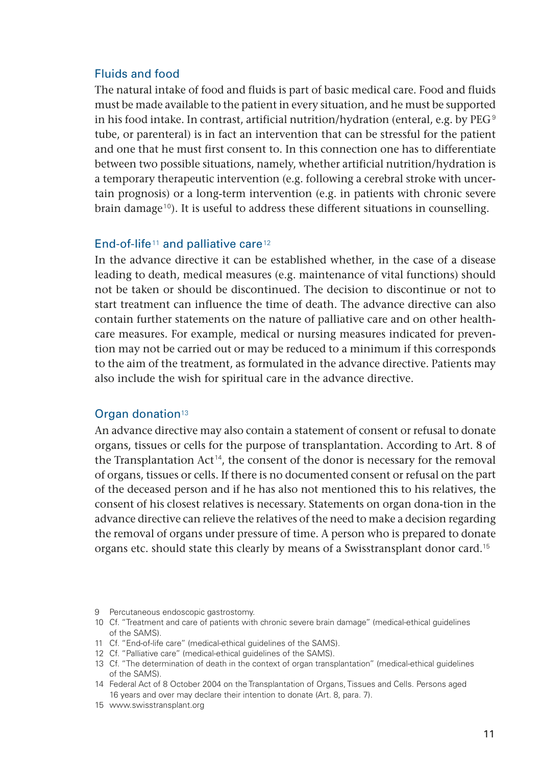# Fluids and food

The natural intake of food and fluids is part of basic medical care. Food and fluids must be made available to the patient in every situation, and he must be supported in his food intake. In contrast, artificial nutrition/hydration (enteral, e.g. by  $PEG<sup>9</sup>$ tube, or parenteral) is in fact an intervention that can be stressful for the patient and one that he must first consent to. In this connection one has to differentiate between two possible situations, namely, whether artificial nutrition/hydration is a temporary therapeutic intervention (e.g. following a cerebral stroke with uncertain prognosis) or a long-term intervention (e.g. in patients with chronic severe brain damage<sup>10</sup>). It is useful to address these different situations in counselling.

#### End-of-life<sup>11</sup> and palliative care<sup>12</sup>

In the advance directive it can be established whether, in the case of a disease leading to death, medical measures (e.g. maintenance of vital functions) should not be taken or should be discontinued. The decision to discontinue or not to start treatment can influence the time of death. The advance directive can also contain further statements on the nature of palliative care and on other healthcare measures. For example, medical or nursing measures indicated for prevention may not be carried out or may be reduced to a minimum if this corresponds to the aim of the treatment, as formulated in the advance directive. Patients may also include the wish for spiritual care in the advance directive.

#### Organ donation<sup>13</sup>

An advance directive may also contain a statement of consent or refusal to donate organs, tissues or cells for the purpose of transplantation. According to Art. 8 of the Transplantation Act<sup>14</sup>, the consent of the donor is necessary for the removal of organs, tissues or cells. If there is no documented consent or refusal on the part of the deceased person and if he has also not mentioned this to his relatives, the consent of his closest relatives is necessary. Statements on organ dona-tion in the advance directive can relieve the relatives of the need to make a decision regarding the removal of organs under pressure of time. A person who is prepared to donate organs etc. should state this clearly by means of a Swisstransplant donor card. 15

<sup>9</sup> Percutaneous endoscopic gastrostomy.

<sup>10</sup> Cf. "Treatment and care of patients with chronic severe brain damage" (medical-ethical guidelines of the SAMS).

<sup>11</sup> Cf. "End-of-life care" (medical-ethical guidelines of the SAMS).

<sup>12</sup> Cf. "Palliative care" (medical-ethical guidelines of the SAMS).

<sup>13</sup> Cf. "The determination of death in the context of organ transplantation" (medical-ethical guidelines of the SAMS).

<sup>14</sup> Federal Act of 8 October 2004 on the Transplantation of Organs, Tissues and Cells, Persons aged 16 years and over may declare their intention to donate (Art. 8, para. 7).

<sup>15</sup> www.swisstransplant.org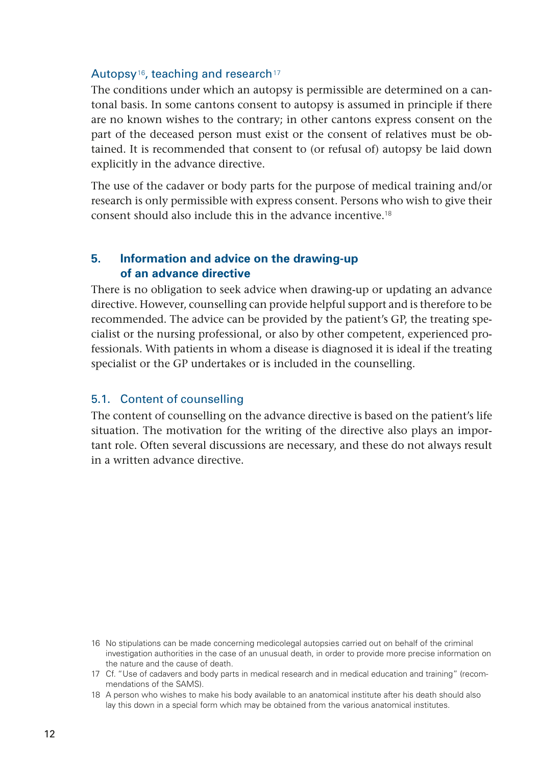#### <span id="page-13-0"></span>Autopsy<sup>16</sup>, teaching and research<sup>17</sup>

The conditions under which an autopsy is permissible are determined on a cantonal basis. In some cantons consent to autopsy is assumed in principle if there are no known wishes to the contrary; in other cantons express consent on the part of the deceased person must exist or the consent of relatives must be obtained. It is recommended that consent to (or refusal of) autopsy be laid down explicitly in the advance directive.

The use of the cadaver or body parts for the purpose of medical training and/or research is only permissible with express consent. Persons who wish to give their consent should also include this in the advance incentive.<sup>18</sup>

# **5. Information and advice on the drawing-up of an advance directive**

There is no obligation to seek advice when drawing-up or updating an advance directive. However, counselling can provide helpful support and is therefore to be recommended. The advice can be provided by the patient's GP, the treating specialist or the nursing professional, or also by other competent, experienced professionals. With patients in whom a disease is diagnosed it is ideal if the treating specialist or the GP undertakes or is included in the counselling.

#### 5.1. Content of counselling

The content of counselling on the advance directive is based on the patient's life situation. The motivation for the writing of the directive also plays an important role. Often several discussions are necessary, and these do not always result in a written advance directive.

<sup>16</sup> No stipulations can be made concerning medicolegal autopsies carried out on behalf of the criminal investigation authorities in the case of an unusual death, in order to provide more precise information on the nature and the cause of death.

<sup>17</sup> Cf. "Use of cadavers and body parts in medical research and in medical education and training" (recommendations of the SAMS).

<sup>18</sup> A person who wishes to make his body available to an anatomical institute after his death should also lay this down in a special form which may be obtained from the various anatomical institutes.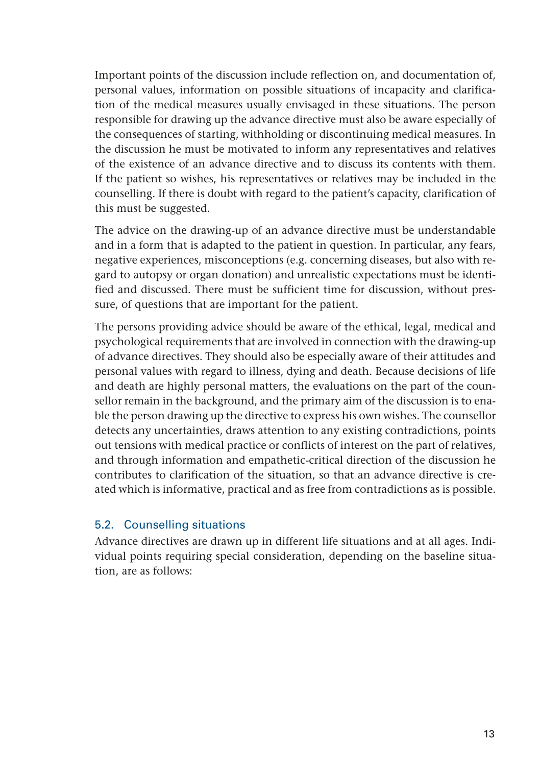<span id="page-14-0"></span>Important points of the discussion include reflection on, and documentation of, personal values, information on possible situations of incapacity and clarification of the medical measures usually envisaged in these situations. The person responsible for drawing up the advance directive must also be aware especially of the consequences of starting, withholding or discontinuing medical measures. In the discussion he must be motivated to inform any representatives and relatives of the existence of an advance directive and to discuss its contents with them. If the patient so wishes, his representatives or relatives may be included in the counselling. If there is doubt with regard to the patient's capacity, clarification of this must be suggested.

The advice on the drawing-up of an advance directive must be understandable and in a form that is adapted to the patient in question. In particular, any fears, negative experiences, misconceptions (e.g. concerning diseases, but also with regard to autopsy or organ donation) and unrealistic expectations must be identified and discussed. There must be sufficient time for discussion, without pressure, of questions that are important for the patient.

The persons providing advice should be aware of the ethical, legal, medical and psychological requirements that are involved in connection with the drawing-up of advance directives. They should also be especially aware of their attitudes and personal values with regard to illness, dying and death. Because decisions of life and death are highly personal matters, the evaluations on the part of the counsellor remain in the background, and the primary aim of the discussion is to enable the person drawing up the directive to express his own wishes. The counsellor detects any uncertainties, draws attention to any existing contradictions, points out tensions with medical practice or conflicts of interest on the part of relatives, and through information and empathetic-critical direction of the discussion he contributes to clarification of the situation, so that an advance directive is created which is informative, practical and as free from contradictions as is possible.

# 5.2. Counselling situations

Advance directives are drawn up in different life situations and at all ages. Individual points requiring special consideration, depending on the baseline situation, are as follows: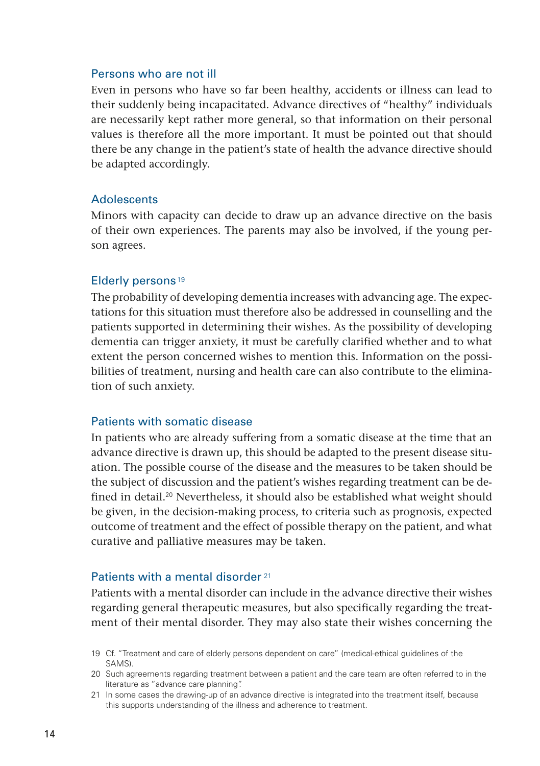#### Persons who are not ill

Even in persons who have so far been healthy, accidents or illness can lead to their suddenly being incapacitated. Advance directives of "healthy" individuals are necessarily kept rather more general, so that information on their personal values is therefore all the more important. It must be pointed out that should there be any change in the patient's state of health the advance directive should be adapted accordingly.

#### **Adolescents**

Minors with capacity can decide to draw up an advance directive on the basis of their own experiences. The parents may also be involved, if the young person agrees.

#### Elderly persons 19

The probability of developing dementia increases with advancing age. The expectations for this situation must therefore also be addressed in counselling and the patients supported in determining their wishes. As the possibility of developing dementia can trigger anxiety, it must be carefully clarified whether and to what extent the person concerned wishes to mention this. Information on the possibilities of treatment, nursing and health care can also contribute to the elimination of such anxiety.

#### Patients with somatic disease

In patients who are already suffering from a somatic disease at the time that an advance directive is drawn up, this should be adapted to the present disease situation. The possible course of the disease and the measures to be taken should be the subject of discussion and the patient's wishes regarding treatment can be defined in detail.<sup>20</sup> Nevertheless, it should also be established what weight should be given, in the decision-making process, to criteria such as prognosis, expected outcome of treatment and the effect of possible therapy on the patient, and what curative and palliative measures may be taken.

#### Patients with a mental disorder<sup>21</sup>

Patients with a mental disorder can include in the advance directive their wishes regarding general therapeutic measures, but also specifically regarding the treatment of their mental disorder. They may also state their wishes concerning the

<sup>19</sup> Cf. "Treatment and care of elderly persons dependent on care" (medical-ethical guidelines of the SAMS).

<sup>20</sup> Such agreements regarding treatment between a patient and the care team are often referred to in the literature as "advance care planning".

<sup>21</sup> In some cases the drawing-up of an advance directive is integrated into the treatment itself, because this supports understanding of the illness and adherence to treatment.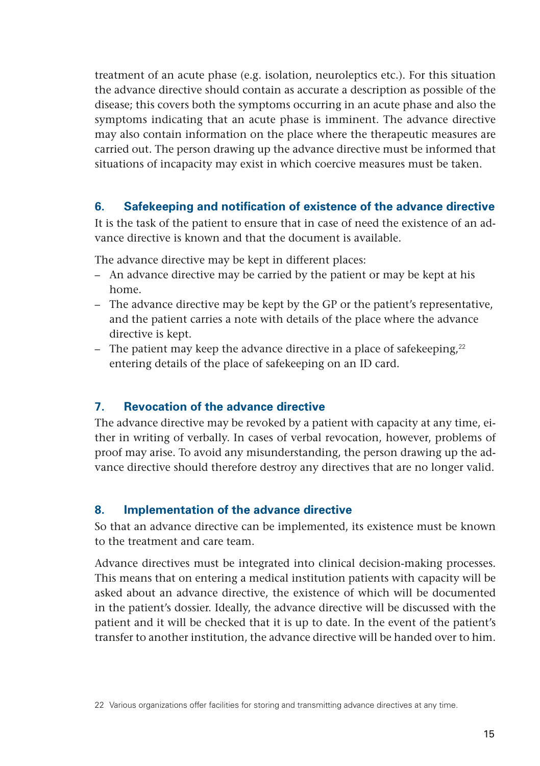<span id="page-16-0"></span>treatment of an acute phase (e.g. isolation, neuroleptics etc.). For this situation the advance directive should contain as accurate a description as possible of the disease; this covers both the symptoms occurring in an acute phase and also the symptoms indicating that an acute phase is imminent. The advance directive may also contain information on the place where the therapeutic measures are carried out. The person drawing up the advance directive must be informed that situations of incapacity may exist in which coercive measures must be taken.

# **6. Safekeeping and notification of existence of the advance directive**

It is the task of the patient to ensure that in case of need the existence of an advance directive is known and that the document is available.

The advance directive may be kept in different places:

- An advance directive may be carried by the patient or may be kept at his home.
- The advance directive may be kept by the GP or the patient's representative, and the patient carries a note with details of the place where the advance directive is kept.
- The patient may keep the advance directive in a place of safekeeping, $22$ entering details of the place of safekeeping on an ID card.

# **7. Revocation of the advance directive**

The advance directive may be revoked by a patient with capacity at any time, either in writing of verbally. In cases of verbal revocation, however, problems of proof may arise. To avoid any misunderstanding, the person drawing up the advance directive should therefore destroy any directives that are no longer valid.

#### **8. Implementation of the advance directive**

So that an advance directive can be implemented, its existence must be known to the treatment and care team.

Advance directives must be integrated into clinical decision-making processes. This means that on entering a medical institution patients with capacity will be asked about an advance directive, the existence of which will be documented in the patient's dossier. Ideally, the advance directive will be discussed with the patient and it will be checked that it is up to date. In the event of the patient's transfer to another institution, the advance directive will be handed over to him.

22 Various organizations offer facilities for storing and transmitting advance directives at any time.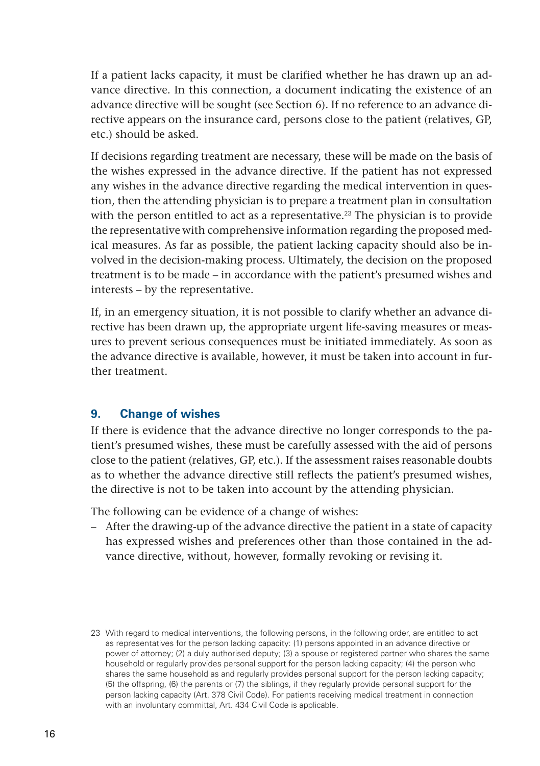<span id="page-17-0"></span>If a patient lacks capacity, it must be clarified whether he has drawn up an advance directive. In this connection, a document indicating the existence of an advance directive will be sought (see Section 6). If no reference to an advance directive appears on the insurance card, persons close to the patient (relatives, GP, etc.) should be asked.

If decisions regarding treatment are necessary, these will be made on the basis of the wishes expressed in the advance directive. If the patient has not expressed any wishes in the advance directive regarding the medical intervention in question, then the attending physician is to prepare a treatment plan in consultation with the person entitled to act as a representative.<sup>23</sup> The physician is to provide the representative with comprehensive information regarding the proposed medical measures. As far as possible, the patient lacking capacity should also be involved in the decision-making process. Ultimately, the decision on the proposed treatment is to be made – in accordance with the patient's presumed wishes and interests – by the representative.

If, in an emergency situation, it is not possible to clarify whether an advance directive has been drawn up, the appropriate urgent life-saving measures or measures to prevent serious consequences must be initiated immediately. As soon as the advance directive is available, however, it must be taken into account in further treatment.

# **9. Change of wishes**

If there is evidence that the advance directive no longer corresponds to the patient's presumed wishes, these must be carefully assessed with the aid of persons close to the patient (relatives, GP, etc.). If the assessment raises reasonable doubts as to whether the advance directive still reflects the patient's presumed wishes, the directive is not to be taken into account by the attending physician.

The following can be evidence of a change of wishes:

– After the drawing-up of the advance directive the patient in a state of capacity has expressed wishes and preferences other than those contained in the advance directive, without, however, formally revoking or revising it.

<sup>23</sup> With regard to medical interventions, the following persons, in the following order, are entitled to act as representatives for the person lacking capacity: (1) persons appointed in an advance directive or power of attorney; (2) a duly authorised deputy; (3) a spouse or registered partner who shares the same household or regularly provides personal support for the person lacking capacity; (4) the person who shares the same household as and regularly provides personal support for the person lacking capacity; (5) the offspring, (6) the parents or (7) the siblings, if they regularly provide personal support for the person lacking capacity (Art. 378 Civil Code). For patients receiving medical treatment in connection with an involuntary committal, Art. 434 Civil Code is applicable.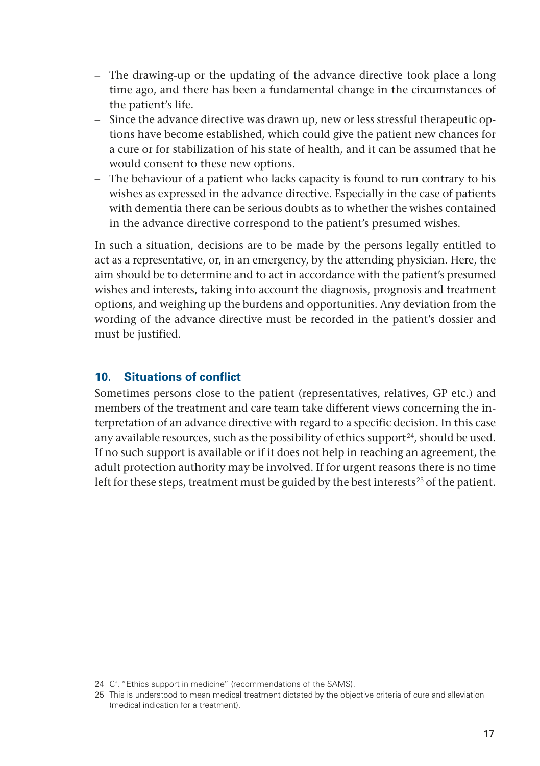- <span id="page-18-0"></span>– The drawing-up or the updating of the advance directive took place a long time ago, and there has been a fundamental change in the circumstances of the patient's life.
- Since the advance directive was drawn up, new or less stressful therapeutic options have become established, which could give the patient new chances for a cure or for stabilization of his state of health, and it can be assumed that he would consent to these new options.
- The behaviour of a patient who lacks capacity is found to run contrary to his wishes as expressed in the advance directive. Especially in the case of patients with dementia there can be serious doubts as to whether the wishes contained in the advance directive correspond to the patient's presumed wishes.

In such a situation, decisions are to be made by the persons legally entitled to act as a representative, or, in an emergency, by the attending physician. Here, the aim should be to determine and to act in accordance with the patient's presumed wishes and interests, taking into account the diagnosis, prognosis and treatment options, and weighing up the burdens and opportunities. Any deviation from the wording of the advance directive must be recorded in the patient's dossier and must be justified.

# **10. Situations of conflict**

Sometimes persons close to the patient (representatives, relatives, GP etc.) and members of the treatment and care team take different views concerning the interpretation of an advance directive with regard to a specific decision. In this case any available resources, such as the possibility of ethics support $24$ , should be used. If no such support is available or if it does not help in reaching an agreement, the adult protection authority may be involved. If for urgent reasons there is no time left for these steps, treatment must be guided by the best interests<sup>25</sup> of the patient.

<sup>24</sup> Cf. "Ethics support in medicine" (recommendations of the SAMS).

<sup>25</sup> This is understood to mean medical treatment dictated by the objective criteria of cure and alleviation (medical indication for a treatment).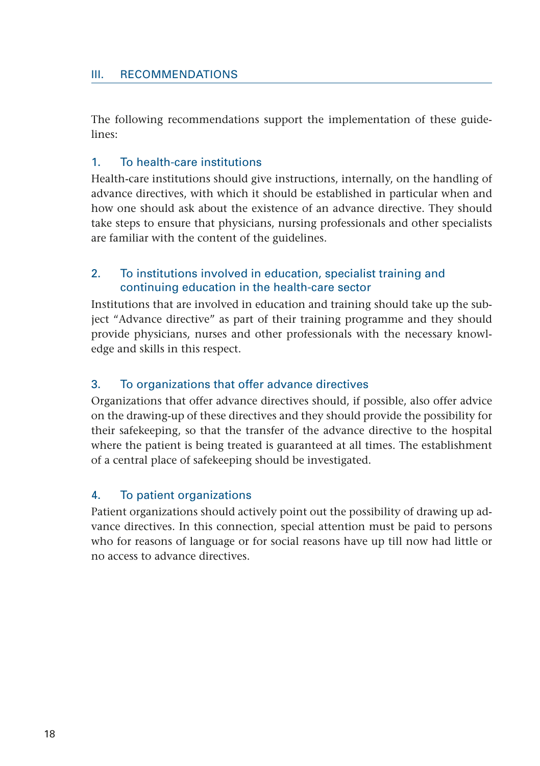#### <span id="page-19-0"></span>III. RECOMMENDATIONS

The following recommendations support the implementation of these guidelines:

#### 1. To health-care institutions

Health-care institutions should give instructions, internally, on the handling of advance directives, with which it should be established in particular when and how one should ask about the existence of an advance directive. They should take steps to ensure that physicians, nursing professionals and other specialists are familiar with the content of the guidelines.

#### 2. To institutions involved in education, specialist training and continuing education in the health-care sector

Institutions that are involved in education and training should take up the subject "Advance directive" as part of their training programme and they should provide physicians, nurses and other professionals with the necessary knowledge and skills in this respect.

#### 3. To organizations that offer advance directives

Organizations that offer advance directives should, if possible, also offer advice on the drawing-up of these directives and they should provide the possibility for their safekeeping, so that the transfer of the advance directive to the hospital where the patient is being treated is guaranteed at all times. The establishment of a central place of safekeeping should be investigated.

# 4. To patient organizations

Patient organizations should actively point out the possibility of drawing up advance directives. In this connection, special attention must be paid to persons who for reasons of language or for social reasons have up till now had little or no access to advance directives.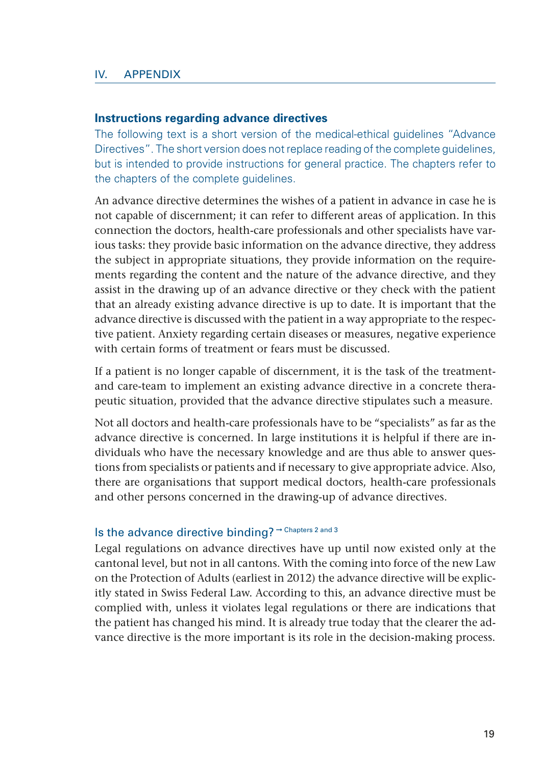#### <span id="page-20-0"></span>IV. APPENDIX

#### **Instructions regarding advance directives**

The following text is a short version of the medical-ethical guidelines "Advance Directives". The short version does not replace reading of the complete guidelines, but is intended to provide instructions for general practice. The chapters refer to the chapters of the complete guidelines.

An advance directive determines the wishes of a patient in advance in case he is not capable of discernment; it can refer to different areas of application. In this connection the doctors, health-care professionals and other specialists have various tasks: they provide basic information on the advance directive, they address the subject in appropriate situations, they provide information on the requirements regarding the content and the nature of the advance directive, and they assist in the drawing up of an advance directive or they check with the patient that an already existing advance directive is up to date. It is important that the advance directive is discussed with the patient in a way appropriate to the respective patient. Anxiety regarding certain diseases or measures, negative experience with certain forms of treatment or fears must be discussed.

If a patient is no longer capable of discernment, it is the task of the treatmentand care-team to implement an existing advance directive in a concrete therapeutic situation, provided that the advance directive stipulates such a measure.

Not all doctors and health-care professionals have to be "specialists" as far as the advance directive is concerned. In large institutions it is helpful if there are individuals who have the necessary knowledge and are thus able to answer questions from specialists or patients and if necessary to give appropriate advice. Also, there are organisations that support medical doctors, health-care professionals and other persons concerned in the drawing-up of advance directives.

#### Is the advance directive binding? → Chapters 2 and 3

Legal regulations on advance directives have up until now existed only at the cantonal level, but not in all cantons. With the coming into force of the new Law on the Protection of Adults (earliest in 2012) the advance directive will be explicitly stated in Swiss Federal Law. According to this, an advance directive must be complied with, unless it violates legal regulations or there are indications that the patient has changed his mind. It is already true today that the clearer the advance directive is the more important is its role in the decision-making process.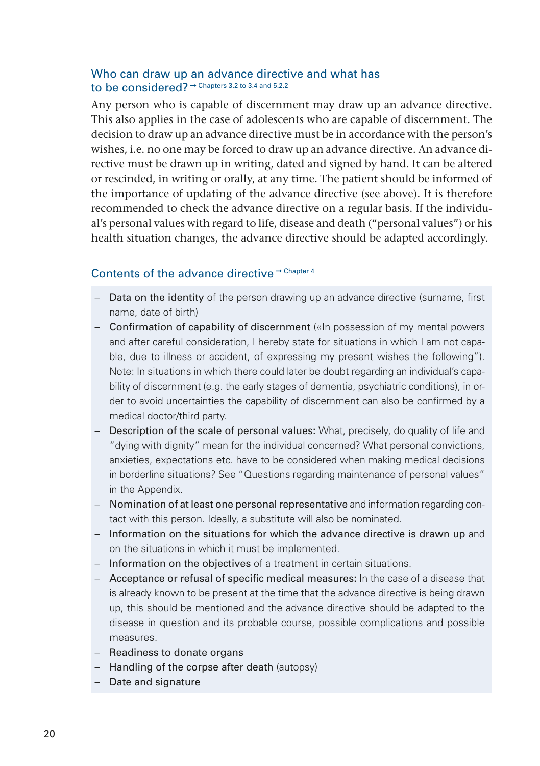#### Who can draw up an advance directive and what has to be considered? → Chapters 3.2 to 3.4 and 5.2.2

Any person who is capable of discernment may draw up an advance directive. This also applies in the case of adolescents who are capable of discernment. The decision to draw up an advance directive must be in accordance with the person's wishes, i.e. no one may be forced to draw up an advance directive. An advance directive must be drawn up in writing, dated and signed by hand. It can be altered or rescinded, in writing or orally, at any time. The patient should be informed of the importance of updating of the advance directive (see above). It is therefore recommended to check the advance directive on a regular basis. If the individual's personal values with regard to life, disease and death ("personal values") or his health situation changes, the advance directive should be adapted accordingly.

#### Contents of the advance directive  $\rightarrow$  Chapter 4

- Data on the identity of the person drawing up an advance directive (surname, first name, date of birth)
- Confirmation of capability of discernment («In possession of my mental powers and after careful consideration, I hereby state for situations in which I am not capable, due to illness or accident, of expressing my present wishes the following"). Note: In situations in which there could later be doubt regarding an individual's capability of discernment (e.g. the early stages of dementia, psychiatric conditions), in order to avoid uncertainties the capability of discernment can also be confirmed by a medical doctor/third party.
- Description of the scale of personal values: What, precisely, do quality of life and "dying with dignity" mean for the individual concerned? What personal convictions, anxieties, expectations etc. have to be considered when making medical decisions in borderline situations? See "Questions regarding maintenance of personal values" in the Appendix.
- Nomination of at least one personal representative and information regarding contact with this person. Ideally, a substitute will also be nominated.
- Information on the situations for which the advance directive is drawn up and on the situations in which it must be implemented.
- Information on the objectives of a treatment in certain situations.
- Acceptance or refusal of specific medical measures: In the case of a disease that is already known to be present at the time that the advance directive is being drawn up, this should be mentioned and the advance directive should be adapted to the disease in question and its probable course, possible complications and possible measures.
- Readiness to donate organs
- Handling of the corpse after death (autopsy)
- Date and signature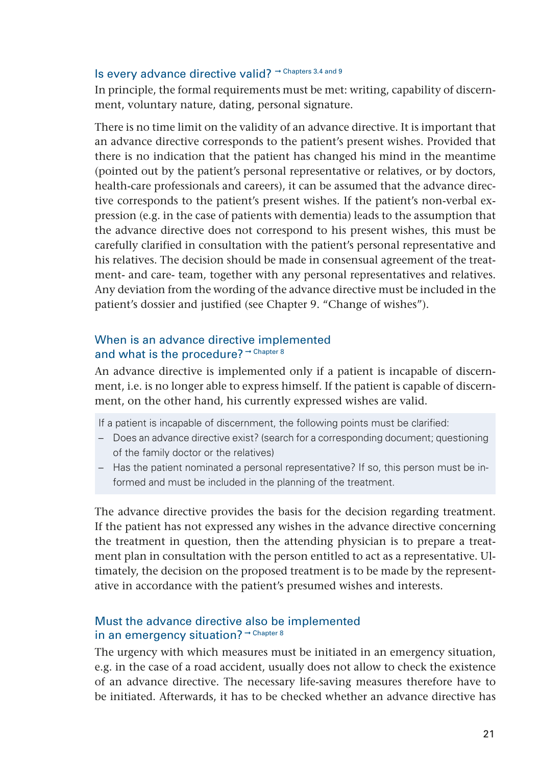# Is every advance directive valid? → Chapters 3.4 and 9

In principle, the formal requirements must be met: writing, capability of discernment, voluntary nature, dating, personal signature.

There is no time limit on the validity of an advance directive. It is important that an advance directive corresponds to the patient's present wishes. Provided that there is no indication that the patient has changed his mind in the meantime (pointed out by the patient's personal representative or relatives, or by doctors, health-care professionals and careers), it can be assumed that the advance directive corresponds to the patient's present wishes. If the patient's non-verbal expression (e.g. in the case of patients with dementia) leads to the assumption that the advance directive does not correspond to his present wishes, this must be carefully clarified in consultation with the patient's personal representative and his relatives. The decision should be made in consensual agreement of the treatment- and care- team, together with any personal representatives and relatives. Any deviation from the wording of the advance directive must be included in the patient's dossier and justified (see Chapter 9. "Change of wishes").

#### When is an advance directive implemented and what is the procedure?  $\rightarrow$  Chapter 8

An advance directive is implemented only if a patient is incapable of discernment, i.e. is no longer able to express himself. If the patient is capable of discernment, on the other hand, his currently expressed wishes are valid.

If a patient is incapable of discernment, the following points must be clarified:

- Does an advance directive exist? (search for a corresponding document; questioning of the family doctor or the relatives)
- Has the patient nominated a personal representative? If so, this person must be informed and must be included in the planning of the treatment.

The advance directive provides the basis for the decision regarding treatment. If the patient has not expressed any wishes in the advance directive concerning the treatment in question, then the attending physician is to prepare a treatment plan in consultation with the person entitled to act as a representative. Ultimately, the decision on the proposed treatment is to be made by the representative in accordance with the patient's presumed wishes and interests.

#### Must the advance directive also be implemented in an emergency situation? → Chapter 8

The urgency with which measures must be initiated in an emergency situation, e.g. in the case of a road accident, usually does not allow to check the existence of an advance directive. The necessary life-saving measures therefore have to be initiated. Afterwards, it has to be checked whether an advance directive has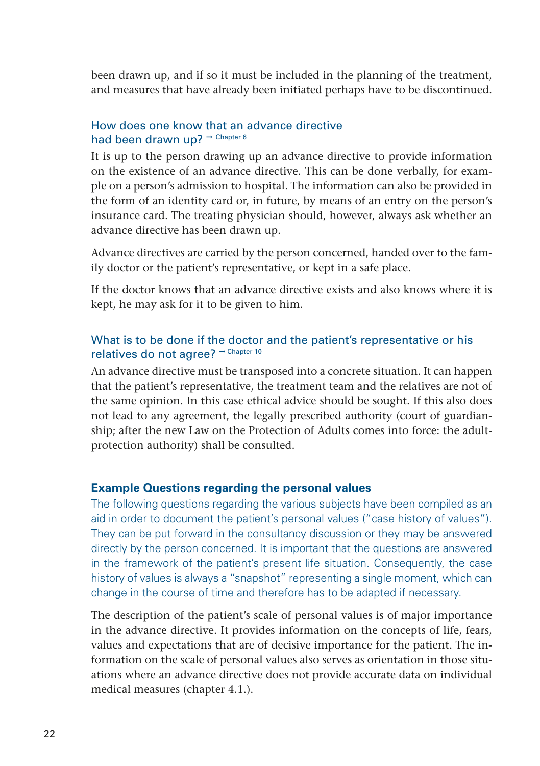<span id="page-23-0"></span>been drawn up, and if so it must be included in the planning of the treatment, and measures that have already been initiated perhaps have to be discontinued.

#### How does one know that an advance directive had been drawn up? → Chapter 6

It is up to the person drawing up an advance directive to provide information on the existence of an advance directive. This can be done verbally, for example on a person's admission to hospital. The information can also be provided in the form of an identity card or, in future, by means of an entry on the person's insurance card. The treating physician should, however, always ask whether an advance directive has been drawn up.

Advance directives are carried by the person concerned, handed over to the family doctor or the patient's representative, or kept in a safe place.

If the doctor knows that an advance directive exists and also knows where it is kept, he may ask for it to be given to him.

#### What is to be done if the doctor and the patient's representative or his relatives do not agree?  $\rightarrow$  Chapter 10

An advance directive must be transposed into a concrete situation. It can happen that the patient's representative, the treatment team and the relatives are not of the same opinion. In this case ethical advice should be sought. If this also does not lead to any agreement, the legally prescribed authority (court of guardianship; after the new Law on the Protection of Adults comes into force: the adultprotection authority) shall be consulted.

#### **Example Questions regarding the personal values**

The following questions regarding the various subjects have been compiled as an aid in order to document the patient's personal values ("case history of values"). They can be put forward in the consultancy discussion or they may be answered directly by the person concerned. It is important that the questions are answered in the framework of the patient's present life situation. Consequently, the case history of values is always a "snapshot" representing a single moment, which can change in the course of time and therefore has to be adapted if necessary.

The description of the patient's scale of personal values is of major importance in the advance directive. It provides information on the concepts of life, fears, values and expectations that are of decisive importance for the patient. The information on the scale of personal values also serves as orientation in those situations where an advance directive does not provide accurate data on individual medical measures (chapter 4.1.).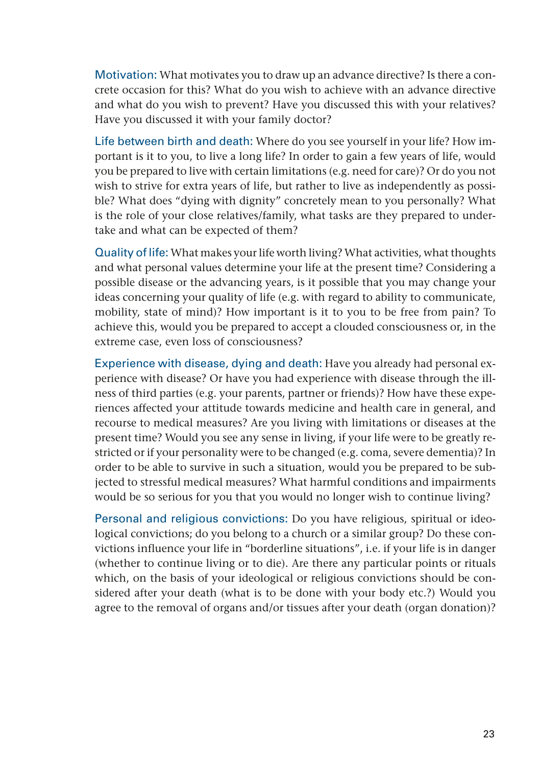Motivation: What motivates you to draw up an advance directive? Is there a concrete occasion for this? What do you wish to achieve with an advance directive and what do you wish to prevent? Have you discussed this with your relatives? Have you discussed it with your family doctor?

Life between birth and death: Where do you see yourself in your life? How important is it to you, to live a long life? In order to gain a few years of life, would you be prepared to live with certain limitations (e.g. need for care)? Or do you not wish to strive for extra years of life, but rather to live as independently as possible? What does "dying with dignity" concretely mean to you personally? What is the role of your close relatives/family, what tasks are they prepared to undertake and what can be expected of them?

Quality of life: What makes your life worth living? What activities, what thoughts and what personal values determine your life at the present time? Considering a possible disease or the advancing years, is it possible that you may change your ideas concerning your quality of life (e.g. with regard to ability to communicate, mobility, state of mind)? How important is it to you to be free from pain? To achieve this, would you be prepared to accept a clouded consciousness or, in the extreme case, even loss of consciousness?

Experience with disease, dying and death: Have you already had personal experience with disease? Or have you had experience with disease through the illness of third parties (e.g. your parents, partner or friends)? How have these experiences affected your attitude towards medicine and health care in general, and recourse to medical measures? Are you living with limitations or diseases at the present time? Would you see any sense in living, if your life were to be greatly restricted or if your personality were to be changed (e.g. coma, severe dementia)? In order to be able to survive in such a situation, would you be prepared to be subjected to stressful medical measures? What harmful conditions and impairments would be so serious for you that you would no longer wish to continue living?

Personal and religious convictions: Do you have religious, spiritual or ideological convictions; do you belong to a church or a similar group? Do these convictions influence your life in "borderline situations", i.e. if your life is in danger (whether to continue living or to die). Are there any particular points or rituals which, on the basis of your ideological or religious convictions should be considered after your death (what is to be done with your body etc.?) Would you agree to the removal of organs and/or tissues after your death (organ donation)?